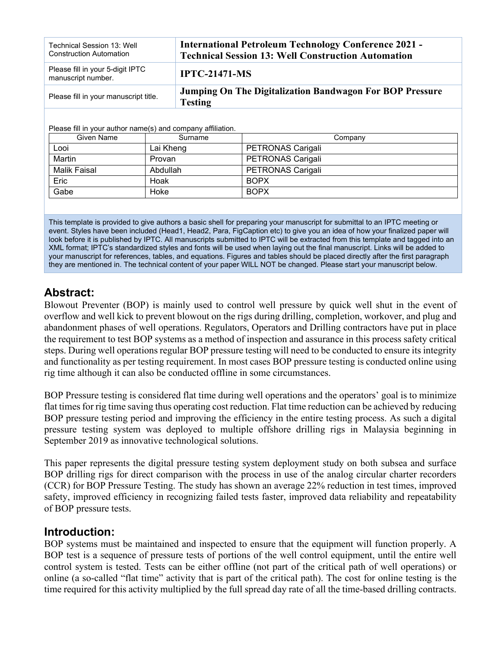| Technical Session 13: Well<br><b>Construction Automation</b> | <b>International Petroleum Technology Conference 2021 -</b><br><b>Technical Session 13: Well Construction Automation</b> |
|--------------------------------------------------------------|--------------------------------------------------------------------------------------------------------------------------|
| Please fill in your 5-digit IPTC<br>manuscript number.       | <b>IPTC-21471-MS</b>                                                                                                     |
| Please fill in your manuscript title.                        | Jumping On The Digitalization Bandwagon For BOP Pressure<br><b>Testing</b>                                               |

Please fill in your author name(s) and company affiliation.

| Given Name   | Surname   | Company                  |
|--------------|-----------|--------------------------|
| Looi         | Lai Kheng | <b>PETRONAS Carigali</b> |
| Martin       | Provan    | PETRONAS Carigali        |
| Malik Faisal | Abdullah  | PETRONAS Carigali        |
| Eric         | Hoak      | <b>BOPX</b>              |
| Gabe         | Hoke      | <b>BOPX</b>              |

This template is provided to give authors a basic shell for preparing your manuscript for submittal to an IPTC meeting or event. Styles have been included (Head1, Head2, Para, FigCaption etc) to give you an idea of how your finalized paper will look before it is published by IPTC. All manuscripts submitted to IPTC will be extracted from this template and tagged into an XML format; IPTC's standardized styles and fonts will be used when laying out the final manuscript. Links will be added to your manuscript for references, tables, and equations. Figures and tables should be placed directly after the first paragraph they are mentioned in. The technical content of your paper WILL NOT be changed. Please start your manuscript below.

# **Abstract:**

Blowout Preventer (BOP) is mainly used to control well pressure by quick well shut in the event of overflow and well kick to prevent blowout on the rigs during drilling, completion, workover, and plug and abandonment phases of well operations. Regulators, Operators and Drilling contractors have put in place the requirement to test BOP systems as a method of inspection and assurance in this process safety critical steps. During well operations regular BOP pressure testing will need to be conducted to ensure its integrity and functionality as per testing requirement. In most cases BOP pressure testing is conducted online using rig time although it can also be conducted offline in some circumstances.

BOP Pressure testing is considered flat time during well operations and the operators' goal is to minimize flat times for rig time saving thus operating cost reduction. Flat time reduction can be achieved by reducing BOP pressure testing period and improving the efficiency in the entire testing process. As such a digital pressure testing system was deployed to multiple offshore drilling rigs in Malaysia beginning in September 2019 as innovative technological solutions.

This paper represents the digital pressure testing system deployment study on both subsea and surface BOP drilling rigs for direct comparison with the process in use of the analog circular charter recorders (CCR) for BOP Pressure Testing. The study has shown an average 22% reduction in test times, improved safety, improved efficiency in recognizing failed tests faster, improved data reliability and repeatability of BOP pressure tests.

## **Introduction:**

BOP systems must be maintained and inspected to ensure that the equipment will function properly. A BOP test is a sequence of pressure tests of portions of the well control equipment, until the entire well control system is tested. Tests can be either offline (not part of the critical path of well operations) or online (a so-called "flat time" activity that is part of the critical path). The cost for online testing is the time required for this activity multiplied by the full spread day rate of all the time-based drilling contracts.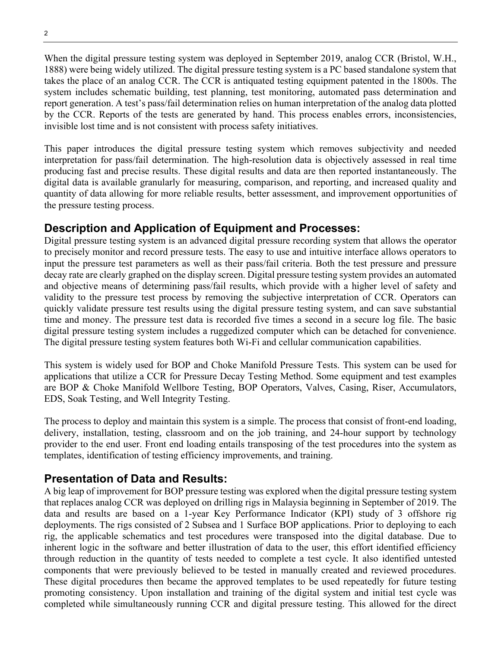When the digital pressure testing system was deployed in September 2019, analog CCR (Bristol, W.H., 1888) were being widely utilized. The digital pressure testing system is a PC based standalone system that takes the place of an analog CCR. The CCR is antiquated testing equipment patented in the 1800s. The system includes schematic building, test planning, test monitoring, automated pass determination and report generation. A test's pass/fail determination relies on human interpretation of the analog data plotted by the CCR. Reports of the tests are generated by hand. This process enables errors, inconsistencies, invisible lost time and is not consistent with process safety initiatives.

This paper introduces the digital pressure testing system which removes subjectivity and needed interpretation for pass/fail determination. The high-resolution data is objectively assessed in real time producing fast and precise results. These digital results and data are then reported instantaneously. The digital data is available granularly for measuring, comparison, and reporting, and increased quality and quantity of data allowing for more reliable results, better assessment, and improvement opportunities of the pressure testing process.

# **Description and Application of Equipment and Processes:**

Digital pressure testing system is an advanced digital pressure recording system that allows the operator to precisely monitor and record pressure tests. The easy to use and intuitive interface allows operators to input the pressure test parameters as well as their pass/fail criteria. Both the test pressure and pressure decay rate are clearly graphed on the display screen. Digital pressure testing system provides an automated and objective means of determining pass/fail results, which provide with a higher level of safety and validity to the pressure test process by removing the subjective interpretation of CCR. Operators can quickly validate pressure test results using the digital pressure testing system, and can save substantial time and money. The pressure test data is recorded five times a second in a secure log file. The basic digital pressure testing system includes a ruggedized computer which can be detached for convenience. The digital pressure testing system features both Wi-Fi and cellular communication capabilities.

This system is widely used for BOP and Choke Manifold Pressure Tests. This system can be used for applications that utilize a CCR for Pressure Decay Testing Method. Some equipment and test examples are BOP & Choke Manifold Wellbore Testing, BOP Operators, Valves, Casing, Riser, Accumulators, EDS, Soak Testing, and Well Integrity Testing.

The process to deploy and maintain this system is a simple. The process that consist of front-end loading, delivery, installation, testing, classroom and on the job training, and 24-hour support by technology provider to the end user. Front end loading entails transposing of the test procedures into the system as templates, identification of testing efficiency improvements, and training.

# **Presentation of Data and Results:**

A big leap of improvement for BOP pressure testing was explored when the digital pressure testing system that replaces analog CCR was deployed on drilling rigs in Malaysia beginning in September of 2019. The data and results are based on a 1-year Key Performance Indicator (KPI) study of 3 offshore rig deployments. The rigs consisted of 2 Subsea and 1 Surface BOP applications. Prior to deploying to each rig, the applicable schematics and test procedures were transposed into the digital database. Due to inherent logic in the software and better illustration of data to the user, this effort identified efficiency through reduction in the quantity of tests needed to complete a test cycle. It also identified untested components that were previously believed to be tested in manually created and reviewed procedures. These digital procedures then became the approved templates to be used repeatedly for future testing promoting consistency. Upon installation and training of the digital system and initial test cycle was completed while simultaneously running CCR and digital pressure testing. This allowed for the direct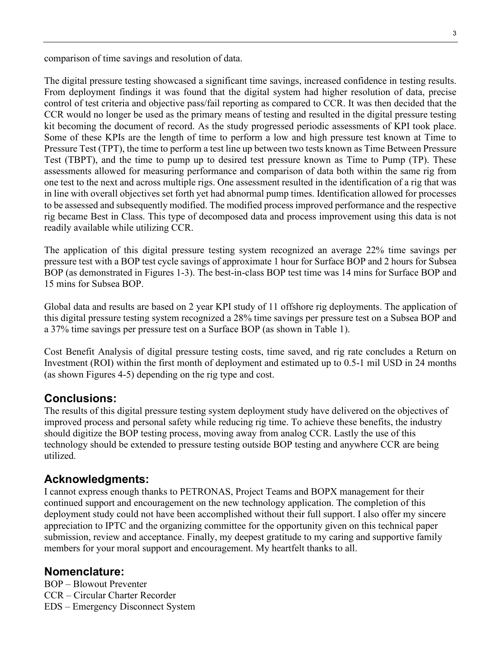comparison of time savings and resolution of data.

The digital pressure testing showcased a significant time savings, increased confidence in testing results. From deployment findings it was found that the digital system had higher resolution of data, precise control of test criteria and objective pass/fail reporting as compared to CCR. It was then decided that the CCR would no longer be used as the primary means of testing and resulted in the digital pressure testing kit becoming the document of record. As the study progressed periodic assessments of KPI took place. Some of these KPIs are the length of time to perform a low and high pressure test known at Time to Pressure Test (TPT), the time to perform a test line up between two tests known as Time Between Pressure Test (TBPT), and the time to pump up to desired test pressure known as Time to Pump (TP). These assessments allowed for measuring performance and comparison of data both within the same rig from one test to the next and across multiple rigs. One assessment resulted in the identification of a rig that was in line with overall objectives set forth yet had abnormal pump times. Identification allowed for processes to be assessed and subsequently modified. The modified process improved performance and the respective rig became Best in Class. This type of decomposed data and process improvement using this data is not readily available while utilizing CCR.

The application of this digital pressure testing system recognized an average 22% time savings per pressure test with a BOP test cycle savings of approximate 1 hour for Surface BOP and 2 hours for Subsea BOP (as demonstrated in Figures 1-3). The best-in-class BOP test time was 14 mins for Surface BOP and 15 mins for Subsea BOP.

Global data and results are based on 2 year KPI study of 11 offshore rig deployments. The application of this digital pressure testing system recognized a 28% time savings per pressure test on a Subsea BOP and a 37% time savings per pressure test on a Surface BOP (as shown in Table 1).

Cost Benefit Analysis of digital pressure testing costs, time saved, and rig rate concludes a Return on Investment (ROI) within the first month of deployment and estimated up to 0.5-1 mil USD in 24 months (as shown Figures 4-5) depending on the rig type and cost.

## **Conclusions:**

The results of this digital pressure testing system deployment study have delivered on the objectives of improved process and personal safety while reducing rig time. To achieve these benefits, the industry should digitize the BOP testing process, moving away from analog CCR. Lastly the use of this technology should be extended to pressure testing outside BOP testing and anywhere CCR are being utilized.

## **Acknowledgments:**

I cannot express enough thanks to PETRONAS, Project Teams and BOPX management for their continued support and encouragement on the new technology application. The completion of this deployment study could not have been accomplished without their full support. I also offer my sincere appreciation to IPTC and the organizing committee for the opportunity given on this technical paper submission, review and acceptance. Finally, my deepest gratitude to my caring and supportive family members for your moral support and encouragement. My heartfelt thanks to all.

#### **Nomenclature:**

BOP – Blowout Preventer CCR – Circular Charter Recorder EDS – Emergency Disconnect System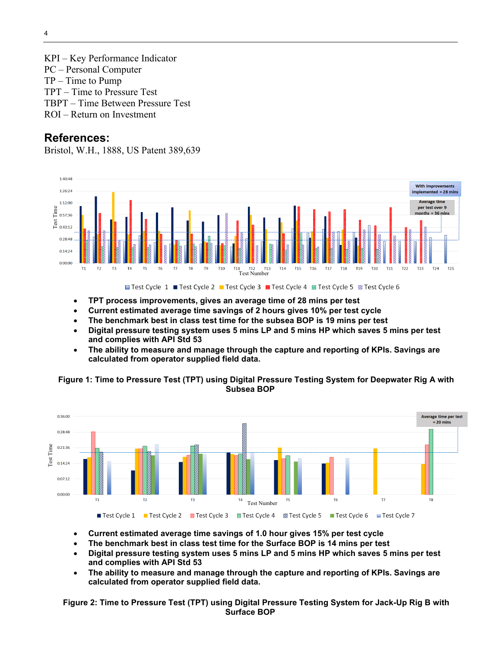KPI – Key Performance Indicator PC – Personal Computer TP – Time to Pump TPT – Time to Pressure Test TBPT – Time Between Pressure Test ROI – Return on Investment

#### **References:**

Bristol, W.H., 1888, US Patent 389,639



- **TPT process improvements, gives an average time of 28 mins per test**
- **Current estimated average time savings of 2 hours gives 10% per test cycle**
- **The benchmark best in class test time for the subsea BOP is 19 mins per test**
- **Digital pressure testing system uses 5 mins LP and 5 mins HP which saves 5 mins per test and complies with API Std 53**
- **The ability to measure and manage through the capture and reporting of KPIs. Savings are calculated from operator supplied field data.**





- **Current estimated average time savings of 1.0 hour gives 15% per test cycle**
- **The benchmark best in class test time for the Surface BOP is 14 mins per test**
- **Digital pressure testing system uses 5 mins LP and 5 mins HP which saves 5 mins per test and complies with API Std 53**
- **The ability to measure and manage through the capture and reporting of KPIs. Savings are calculated from operator supplied field data.**

**Figure 2: Time to Pressure Test (TPT) using Digital Pressure Testing System for Jack-Up Rig B with Surface BOP**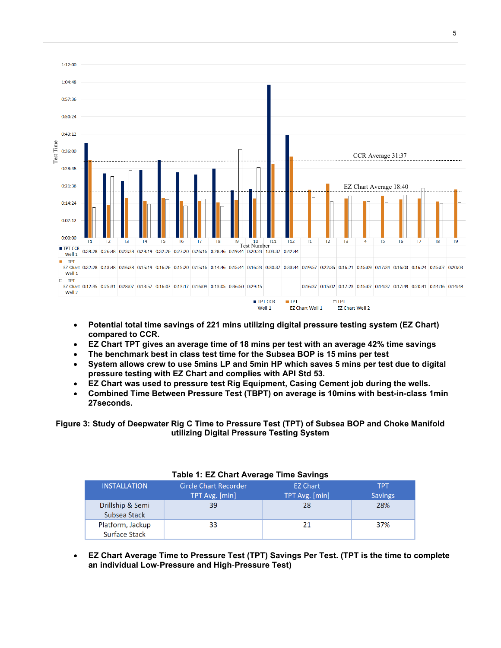

- **Potential total time savings of 221 mins utilizing digital pressure testing system (EZ Chart) compared to CCR.**
- **EZ Chart TPT gives an average time of 18 mins per test with an average 42% time savings**
- **The benchmark best in class test time for the Subsea BOP is 15 mins per test**
- **System allows crew to use 5mins LP and 5min HP which saves 5 mins per test due to digital pressure testing with EZ Chart and complies with API Std 53.**
- **EZ Chart was used to pressure test Rig Equipment, Casing Cement job during the wells.**
- **Combined Time Between Pressure Test (TBPT) on average is 10mins with best-in-class 1min 27seconds.**

**Figure 3: Study of Deepwater Rig C Time to Pressure Test (TPT) of Subsea BOP and Choke Manifold utilizing Digital Pressure Testing System**

| $1800$ $\ldots$ LE Vitatt Avoiage Three Cavings |                                                |                                   |                       |  |  |
|-------------------------------------------------|------------------------------------------------|-----------------------------------|-----------------------|--|--|
| <b>INSTALLATION</b>                             | <b>Circle Chart Recorder</b><br>TPT Avg. [min] | <b>EZ Chart</b><br>TPT Avg. [min] | TPT<br><b>Savings</b> |  |  |
| Drillship & Semi<br>Subsea Stack                | 39                                             | 28                                | 28%                   |  |  |
| Platform, Jackup<br>Surface Stack               | 33                                             | 21                                | 37%                   |  |  |

#### **Table 1: EZ Chart Average Time Savings**

• **EZ Chart Average Time to Pressure Test (TPT) Savings Per Test. (TPT is the time to complete an individual Low**‐**Pressure and High**‐**Pressure Test)**